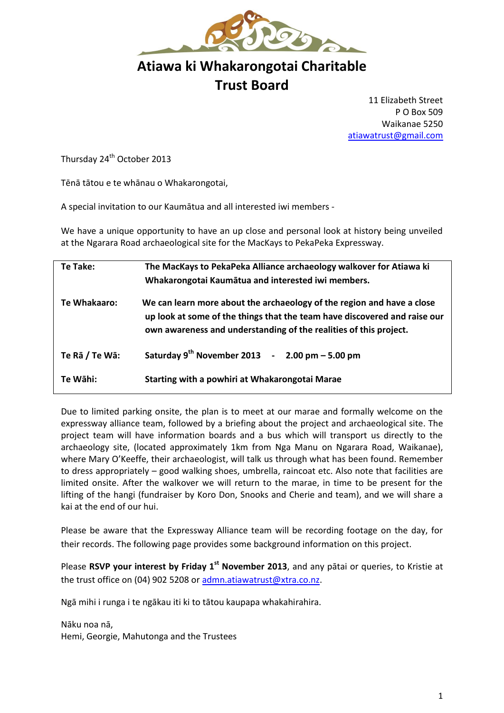

## **Atiawa ki Whakarongotai Charitable Trust Board**

11 Elizabeth Street P O Box 509 Waikanae 5250 [atiawatrust@gmail.com](mailto:atiawatrust@gmail.com)

Thursday 24<sup>th</sup> October 2013

Tēnā tātou e te whānau o Whakarongotai,

A special invitation to our Kaumātua and all interested iwi members -

We have a unique opportunity to have an up close and personal look at history being unveiled at the Ngarara Road archaeological site for the MacKays to PekaPeka Expressway.

| Te Take:       | The MacKays to PekaPeka Alliance archaeology walkover for Atiawa ki<br>Whakarongotai Kaumātua and interested iwi members.                                                                                                |
|----------------|--------------------------------------------------------------------------------------------------------------------------------------------------------------------------------------------------------------------------|
|                |                                                                                                                                                                                                                          |
| Te Whakaaro:   | We can learn more about the archaeology of the region and have a close<br>up look at some of the things that the team have discovered and raise our<br>own awareness and understanding of the realities of this project. |
| Te Rā / Te Wā: | Saturday $9^{th}$ November 2013 - 2.00 pm - 5.00 pm                                                                                                                                                                      |
| Te Wāhi:       | Starting with a powhiri at Whakarongotai Marae                                                                                                                                                                           |

Due to limited parking onsite, the plan is to meet at our marae and formally welcome on the expressway alliance team, followed by a briefing about the project and archaeological site. The project team will have information boards and a bus which will transport us directly to the archaeology site, (located approximately 1km from Nga Manu on Ngarara Road, Waikanae), where Mary O'Keeffe, their archaeologist, will talk us through what has been found. Remember to dress appropriately – good walking shoes, umbrella, raincoat etc. Also note that facilities are limited onsite. After the walkover we will return to the marae, in time to be present for the lifting of the hangi (fundraiser by Koro Don, Snooks and Cherie and team), and we will share a kai at the end of our hui.

Please be aware that the Expressway Alliance team will be recording footage on the day, for their records. The following page provides some background information on this project.

Please **RSVP your interest by Friday 1st November 2013**, and any pātai or queries, to Kristie at the trust office on (04) 902 5208 o[r admn.atiawatrust@xtra.co.nz.](mailto:admn.atiawatrust@xtra.co.nz)

Ngā mihi i runga i te ngākau iti ki to tātou kaupapa whakahirahira.

Nāku noa nā, Hemi, Georgie, Mahutonga and the Trustees